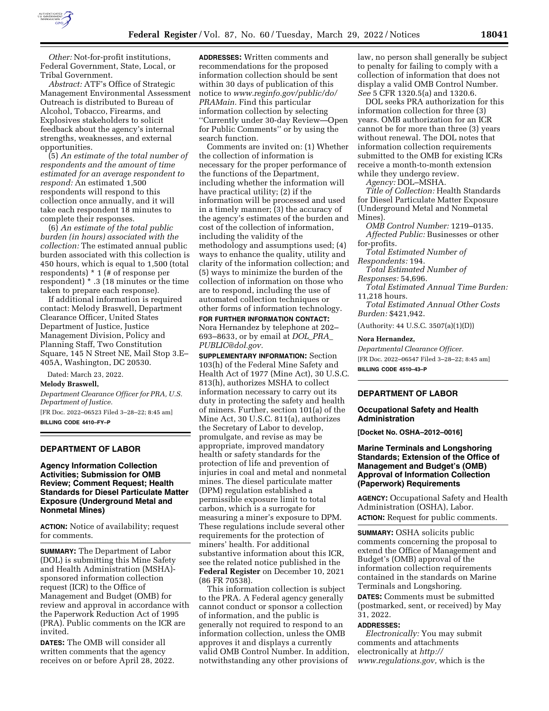

*Other:* Not-for-profit institutions, Federal Government, State, Local, or Tribal Government.

*Abstract:* ATF's Office of Strategic Management Environmental Assessment Outreach is distributed to Bureau of Alcohol, Tobacco, Firearms, and Explosives stakeholders to solicit feedback about the agency's internal strengths, weaknesses, and external opportunities.

(5) *An estimate of the total number of respondents and the amount of time estimated for an average respondent to respond:* An estimated 1,500 respondents will respond to this collection once annually, and it will take each respondent 18 minutes to complete their responses.

(6) *An estimate of the total public burden (in hours) associated with the collection:* The estimated annual public burden associated with this collection is 450 hours, which is equal to 1,500 (total respondents) \* 1 (# of response per respondent) \* .3 (18 minutes or the time taken to prepare each response).

If additional information is required contact: Melody Braswell, Department Clearance Officer, United States Department of Justice, Justice Management Division, Policy and Planning Staff, Two Constitution Square, 145 N Street NE, Mail Stop 3.E– 405A, Washington, DC 20530.

Dated: March 23, 2022.

# **Melody Braswell,**

*Department Clearance Officer for PRA, U.S. Department of Justice.* 

[FR Doc. 2022–06523 Filed 3–28–22; 8:45 am] **BILLING CODE 4410–FY–P** 

#### **DEPARTMENT OF LABOR**

### **Agency Information Collection Activities; Submission for OMB Review; Comment Request; Health Standards for Diesel Particulate Matter Exposure (Underground Metal and Nonmetal Mines)**

**ACTION:** Notice of availability; request for comments.

**SUMMARY:** The Department of Labor (DOL) is submitting this Mine Safety and Health Administration (MSHA) sponsored information collection request (ICR) to the Office of Management and Budget (OMB) for review and approval in accordance with the Paperwork Reduction Act of 1995 (PRA). Public comments on the ICR are invited.

**DATES:** The OMB will consider all written comments that the agency receives on or before April 28, 2022.

**ADDRESSES:** Written comments and recommendations for the proposed information collection should be sent within 30 days of publication of this notice to *[www.reginfo.gov/public/do/](http://www.reginfo.gov/public/do/PRAMain) [PRAMain.](http://www.reginfo.gov/public/do/PRAMain)* Find this particular information collection by selecting ''Currently under 30-day Review—Open for Public Comments'' or by using the search function.

Comments are invited on: (1) Whether the collection of information is necessary for the proper performance of the functions of the Department, including whether the information will have practical utility; (2) if the information will be processed and used in a timely manner; (3) the accuracy of the agency's estimates of the burden and cost of the collection of information, including the validity of the methodology and assumptions used; (4) ways to enhance the quality, utility and clarity of the information collection; and (5) ways to minimize the burden of the collection of information on those who are to respond, including the use of automated collection techniques or other forms of information technology.

**FOR FURTHER INFORMATION CONTACT:**  Nora Hernandez by telephone at 202– 693–8633, or by email at *[DOL](mailto:DOL_PRA_PUBLIC@dol.gov)*\_*PRA*\_ *[PUBLIC@dol.gov.](mailto:DOL_PRA_PUBLIC@dol.gov)* 

**SUPPLEMENTARY INFORMATION:** Section 103(h) of the Federal Mine Safety and Health Act of 1977 (Mine Act), 30 U.S.C. 813(h), authorizes MSHA to collect information necessary to carry out its duty in protecting the safety and health of miners. Further, section 101(a) of the Mine Act, 30 U.S.C. 811(a), authorizes the Secretary of Labor to develop, promulgate, and revise as may be appropriate, improved mandatory health or safety standards for the protection of life and prevention of injuries in coal and metal and nonmetal mines. The diesel particulate matter (DPM) regulation established a permissible exposure limit to total carbon, which is a surrogate for measuring a miner's exposure to DPM. These regulations include several other requirements for the protection of miners' health. For additional substantive information about this ICR, see the related notice published in the **Federal Register** on December 10, 2021 (86 FR 70538).

This information collection is subject to the PRA. A Federal agency generally cannot conduct or sponsor a collection of information, and the public is generally not required to respond to an information collection, unless the OMB approves it and displays a currently valid OMB Control Number. In addition, notwithstanding any other provisions of

law, no person shall generally be subject to penalty for failing to comply with a collection of information that does not display a valid OMB Control Number. *See* 5 CFR 1320.5(a) and 1320.6.

DOL seeks PRA authorization for this information collection for three (3) years. OMB authorization for an ICR cannot be for more than three (3) years without renewal. The DOL notes that information collection requirements submitted to the OMB for existing ICRs receive a month-to-month extension while they undergo review.

*Agency:* DOL–MSHA.

*Title of Collection:* Health Standards for Diesel Particulate Matter Exposure (Underground Metal and Nonmetal Mines).

*OMB Control Number:* 1219–0135. *Affected Public:* Businesses or other for-profits.

*Total Estimated Number of Respondents:* 194.

*Total Estimated Number of Responses:* 54,696.

*Total Estimated Annual Time Burden:*  11,218 hours.

*Total Estimated Annual Other Costs Burden:* \$421,942.

(Authority: 44 U.S.C. 3507(a)(1)(D))

### **Nora Hernandez,**

*Departmental Clearance Officer.*  [FR Doc. 2022–06547 Filed 3–28–22; 8:45 am] **BILLING CODE 4510–43–P** 

### **DEPARTMENT OF LABOR**

#### **Occupational Safety and Health Administration**

**[Docket No. OSHA–2012–0016]** 

### **Marine Terminals and Longshoring Standards; Extension of the Office of Management and Budget's (OMB) Approval of Information Collection (Paperwork) Requirements**

**AGENCY:** Occupational Safety and Health Administration (OSHA), Labor. **ACTION:** Request for public comments.

**SUMMARY:** OSHA solicits public comments concerning the proposal to extend the Office of Management and Budget's (OMB) approval of the information collection requirements contained in the standards on Marine Terminals and Longshoring.

**DATES:** Comments must be submitted (postmarked, sent, or received) by May 31, 2022.

#### **ADDRESSES:**

*Electronically:* You may submit comments and attachments electronically at *[http://](http://www.regulations.gov) [www.regulations.gov,](http://www.regulations.gov)* which is the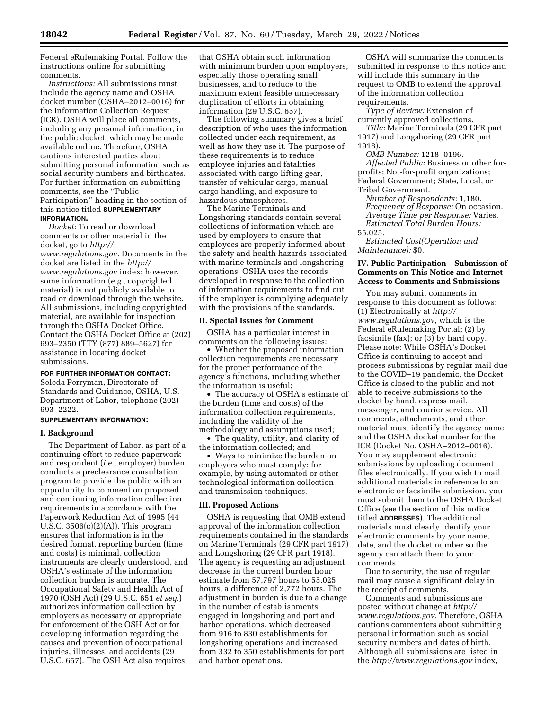Federal eRulemaking Portal. Follow the instructions online for submitting comments.

*Instructions:* All submissions must include the agency name and OSHA docket number (OSHA–2012–0016) for the Information Collection Request (ICR). OSHA will place all comments, including any personal information, in the public docket, which may be made available online. Therefore, OSHA cautions interested parties about submitting personal information such as social security numbers and birthdates. For further information on submitting comments, see the ''Public Participation'' heading in the section of this notice titled **SUPPLEMENTARY INFORMATION.** 

*Docket:* To read or download comments or other material in the docket, go to *[http://](http://www.regulations.gov) [www.regulations.gov.](http://www.regulations.gov)* Documents in the docket are listed in the *[http://](http://www.regulations.gov) [www.regulations.gov](http://www.regulations.gov)* index; however, some information (*e.g.,* copyrighted material) is not publicly available to read or download through the website. All submissions, including copyrighted material, are available for inspection through the OSHA Docket Office. Contact the OSHA Docket Office at (202) 693–2350 (TTY (877) 889–5627) for assistance in locating docket submissions.

#### **FOR FURTHER INFORMATION CONTACT:**

Seleda Perryman, Directorate of Standards and Guidance, OSHA, U.S. Department of Labor, telephone (202) 693–2222.

#### **SUPPLEMENTARY INFORMATION:**

### **I. Background**

The Department of Labor, as part of a continuing effort to reduce paperwork and respondent (*i.e.,* employer) burden, conducts a preclearance consultation program to provide the public with an opportunity to comment on proposed and continuing information collection requirements in accordance with the Paperwork Reduction Act of 1995 (44 U.S.C. 3506(c)(2)(A)). This program ensures that information is in the desired format, reporting burden (time and costs) is minimal, collection instruments are clearly understood, and OSHA's estimate of the information collection burden is accurate. The Occupational Safety and Health Act of 1970 (OSH Act) (29 U.S.C. 651 *et seq.*) authorizes information collection by employers as necessary or appropriate for enforcement of the OSH Act or for developing information regarding the causes and prevention of occupational injuries, illnesses, and accidents (29 U.S.C. 657). The OSH Act also requires

that OSHA obtain such information with minimum burden upon employers, especially those operating small businesses, and to reduce to the maximum extent feasible unnecessary duplication of efforts in obtaining information (29 U.S.C. 657).

The following summary gives a brief description of who uses the information collected under each requirement, as well as how they use it. The purpose of these requirements is to reduce employee injuries and fatalities associated with cargo lifting gear, transfer of vehicular cargo, manual cargo handling, and exposure to hazardous atmospheres.

The Marine Terminals and Longshoring standards contain several collections of information which are used by employers to ensure that employees are properly informed about the safety and health hazards associated with marine terminals and longshoring operations. OSHA uses the records developed in response to the collection of information requirements to find out if the employer is complying adequately with the provisions of the standards.

#### **II. Special Issues for Comment**

OSHA has a particular interest in comments on the following issues:

• Whether the proposed information collection requirements are necessary for the proper performance of the agency's functions, including whether the information is useful;

• The accuracy of OSHA's estimate of the burden (time and costs) of the information collection requirements, including the validity of the methodology and assumptions used;

• The quality, utility, and clarity of the information collected; and

• Ways to minimize the burden on employers who must comply; for example, by using automated or other technological information collection and transmission techniques.

#### **III. Proposed Actions**

OSHA is requesting that OMB extend approval of the information collection requirements contained in the standards on Marine Terminals (29 CFR part 1917) and Longshoring (29 CFR part 1918). The agency is requesting an adjustment decrease in the current burden hour estimate from 57,797 hours to 55,025 hours, a difference of 2,772 hours. The adjustment in burden is due to a change in the number of establishments engaged in longshoring and port and harbor operations, which decreased from 916 to 830 establishments for longshoring operations and increased from 332 to 350 establishments for port and harbor operations.

OSHA will summarize the comments submitted in response to this notice and will include this summary in the request to OMB to extend the approval of the information collection requirements.

*Type of Review:* Extension of currently approved collections.

*Title:* Marine Terminals (29 CFR part 1917) and Longshoring (29 CFR part 1918).

*OMB Number:* 1218–0196. *Affected Public:* Business or other forprofits; Not-for-profit organizations; Federal Government; State, Local, or Tribal Government.

*Number of Respondents:* 1,180. *Frequency of Response:* On occasion. *Average Time per Response:* Varies. *Estimated Total Burden Hours:* 

55,025.

*Estimated Cost(Operation and Maintenance):* \$0.

### **IV. Public Participation—Submission of Comments on This Notice and Internet Access to Comments and Submissions**

You may submit comments in response to this document as follows: (1) Electronically at *[http://](http://www.regulations.gov) [www.regulations.gov,](http://www.regulations.gov)* which is the Federal eRulemaking Portal; (2) by facsimile (fax); or (3) by hard copy. Please note: While OSHA's Docket Office is continuing to accept and process submissions by regular mail due to the COVID–19 pandemic, the Docket Office is closed to the public and not able to receive submissions to the docket by hand, express mail, messenger, and courier service. All comments, attachments, and other material must identify the agency name and the OSHA docket number for the ICR (Docket No. OSHA–2012–0016). You may supplement electronic submissions by uploading document files electronically. If you wish to mail additional materials in reference to an electronic or facsimile submission, you must submit them to the OSHA Docket Office (see the section of this notice titled **ADDRESSES**). The additional materials must clearly identify your electronic comments by your name, date, and the docket number so the agency can attach them to your comments.

Due to security, the use of regular mail may cause a significant delay in the receipt of comments.

Comments and submissions are posted without change at *[http://](http://www.regulations.gov) [www.regulations.gov.](http://www.regulations.gov)* Therefore, OSHA cautions commenters about submitting personal information such as social security numbers and dates of birth. Although all submissions are listed in the *<http://www.regulations.gov>*index,